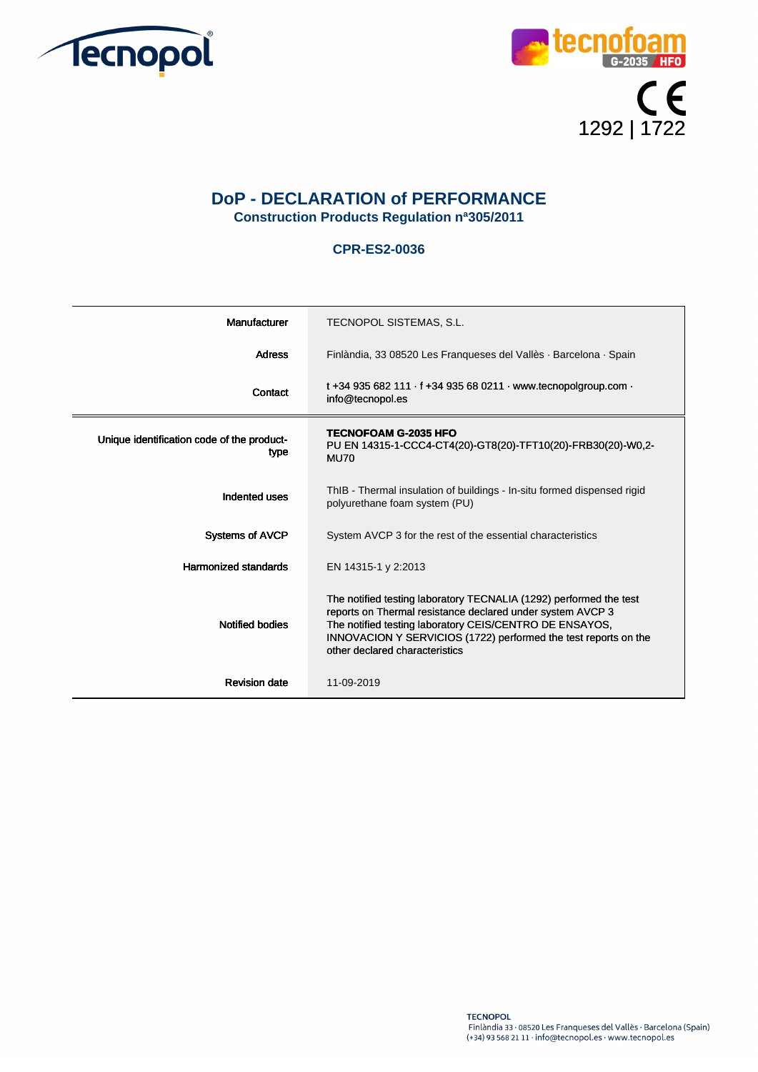



## **DoP - DECLARATION of PERFORMANCE Construction Products Regulation nª305/2011**

## **CPR-ES2-0036**

| Manufacturer                                       | TECNOPOL SISTEMAS, S.L.                                                                                                                                                                                                                                                                          |
|----------------------------------------------------|--------------------------------------------------------------------------------------------------------------------------------------------------------------------------------------------------------------------------------------------------------------------------------------------------|
| <b>Adress</b>                                      | Finlàndia, 33 08520 Les Franqueses del Vallès · Barcelona · Spain                                                                                                                                                                                                                                |
| Contact                                            | t +34 935 682 111 $\cdot$ f +34 935 68 0211 $\cdot$ www.tecnopolgroup.com $\cdot$<br>info@tecnopol.es                                                                                                                                                                                            |
| Unique identification code of the product-<br>type | <b>TECNOFOAM G-2035 HFO</b><br>PU EN 14315-1-CCC4-CT4(20)-GT8(20)-TFT10(20)-FRB30(20)-W0,2-<br><b>MU70</b>                                                                                                                                                                                       |
| Indented uses                                      | ThIB - Thermal insulation of buildings - In-situ formed dispensed rigid<br>polyurethane foam system (PU)                                                                                                                                                                                         |
| <b>Systems of AVCP</b>                             | System AVCP 3 for the rest of the essential characteristics                                                                                                                                                                                                                                      |
| <b>Harmonized standards</b>                        | EN 14315-1 y 2:2013                                                                                                                                                                                                                                                                              |
| <b>Notified bodies</b>                             | The notified testing laboratory TECNALIA (1292) performed the test<br>reports on Thermal resistance declared under system AVCP 3<br>The notified testing laboratory CEIS/CENTRO DE ENSAYOS,<br>INNOVACION Y SERVICIOS (1722) performed the test reports on the<br>other declared characteristics |
| <b>Revision date</b>                               | 11-09-2019                                                                                                                                                                                                                                                                                       |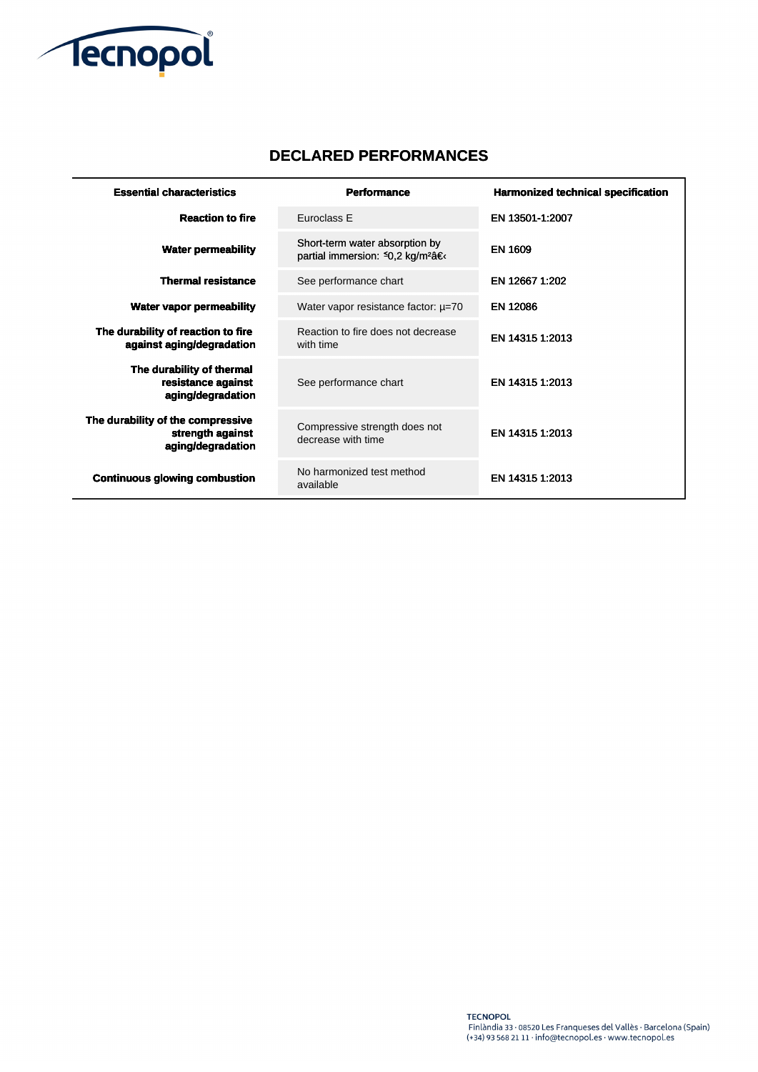

## **DECLARED PERFORMANCES**

| <b>Essential characteristics</b>                                           | <b>Performance</b>                                                             | <b>Harmonized technical specification</b> |
|----------------------------------------------------------------------------|--------------------------------------------------------------------------------|-------------------------------------------|
| <b>Reaction to fire</b>                                                    | Euroclass E                                                                    | EN 13501-1:2007                           |
| <b>Water permeability</b>                                                  | Short-term water absorption by<br>partial immersion: 50,2 kg/m <sup>2</sup> â€ | <b>EN 1609</b>                            |
| <b>Thermal resistance</b>                                                  | See performance chart                                                          | EN 12667 1:202                            |
| <b>Water vapor permeability</b>                                            | Water vapor resistance factor: $\mu$ =70                                       | <b>EN 12086</b>                           |
| The durability of reaction to fire<br>against aging/degradation            | Reaction to fire does not decrease<br>with time                                | EN 14315 1:2013                           |
| The durability of thermal<br>resistance against<br>aging/degradation       | See performance chart                                                          | EN 14315 1:2013                           |
| The durability of the compressive<br>strength against<br>aging/degradation | Compressive strength does not<br>decrease with time                            | EN 14315 1:2013                           |
| <b>Continuous glowing combustion</b>                                       | No harmonized test method<br>available                                         | EN 14315 1:2013                           |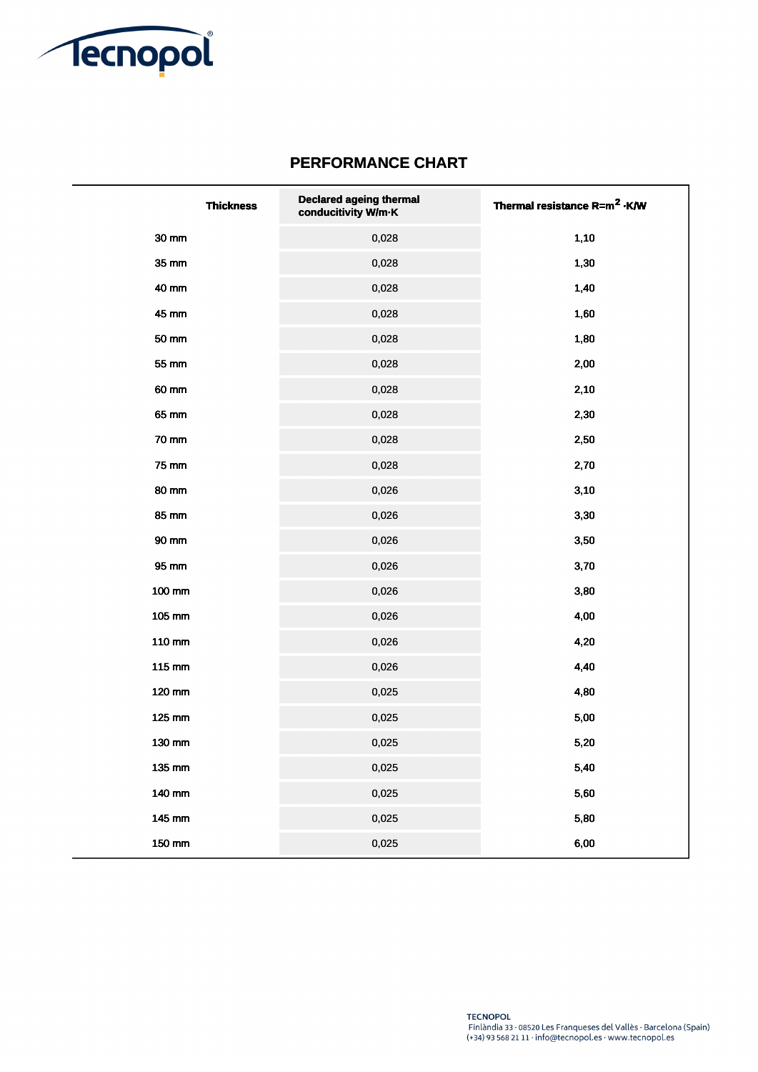

## **PERFORMANCE CHART**

| <b>Thickness</b> | <b>Declared ageing thermal</b><br>conducitivity W/m-K | Thermal resistance R=m <sup>2</sup> .K/W |
|------------------|-------------------------------------------------------|------------------------------------------|
| 30 mm            | 0,028                                                 | 1,10                                     |
| 35 mm            | 0,028                                                 | 1,30                                     |
| 40 mm            | 0,028                                                 | 1,40                                     |
| 45 mm            | 0,028                                                 | 1,60                                     |
| 50 mm            | 0,028                                                 | 1,80                                     |
| 55 mm            | 0,028                                                 | 2,00                                     |
| 60 mm            | 0,028                                                 | 2,10                                     |
| 65 mm            | 0,028                                                 | 2,30                                     |
| <b>70 mm</b>     | 0,028                                                 | 2,50                                     |
| 75 mm            | 0,028                                                 | 2,70                                     |
| 80 mm            | 0,026                                                 | 3,10                                     |
| 85 mm            | 0,026                                                 | 3,30                                     |
| 90 mm            | 0,026                                                 | 3,50                                     |
| 95 mm            | 0,026                                                 | 3,70                                     |
| 100 mm           | 0,026                                                 | 3,80                                     |
| 105 mm           | 0,026                                                 | 4,00                                     |
| 110 mm           | 0,026                                                 | 4,20                                     |
| 115 mm           | 0,026                                                 | 4,40                                     |
| 120 mm           | 0,025                                                 | 4,80                                     |
| 125 mm           | 0,025                                                 | 5,00                                     |
| 130 mm           | 0,025                                                 | 5,20                                     |
| 135 mm           | 0,025                                                 | 5,40                                     |
| 140 mm           | 0,025                                                 | 5,60                                     |
| 145 mm           | 0,025                                                 | 5,80                                     |
| 150 mm           | 0,025                                                 | 6,00                                     |